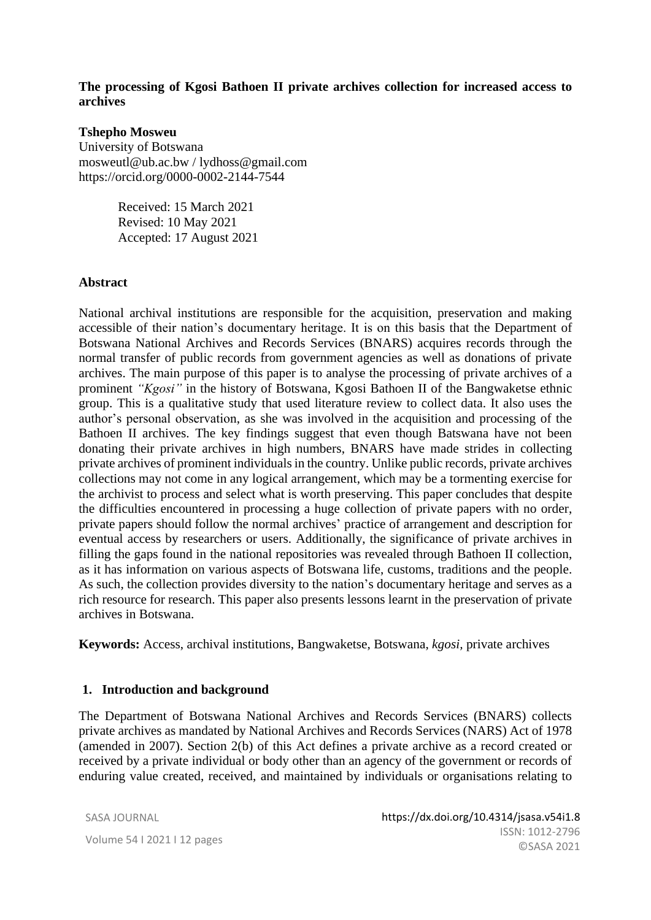#### **The processing of Kgosi Bathoen II private archives collection for increased access to archives**

#### **Tshepho Mosweu**

University of Botswana mosweutl@ub.ac.bw / lydhoss@gmail.com https://orcid.org/0000-0002-2144-7544

> Received: 15 March 2021 Revised: 10 May 2021 Accepted: 17 August 2021

#### **Abstract**

National archival institutions are responsible for the acquisition, preservation and making accessible of their nation's documentary heritage. It is on this basis that the Department of Botswana National Archives and Records Services (BNARS) acquires records through the normal transfer of public records from government agencies as well as donations of private archives. The main purpose of this paper is to analyse the processing of private archives of a prominent *"Kgosi"* in the history of Botswana, Kgosi Bathoen II of the Bangwaketse ethnic group. This is a qualitative study that used literature review to collect data. It also uses the author's personal observation, as she was involved in the acquisition and processing of the Bathoen II archives. The key findings suggest that even though Batswana have not been donating their private archives in high numbers, BNARS have made strides in collecting private archives of prominent individuals in the country. Unlike public records, private archives collections may not come in any logical arrangement, which may be a tormenting exercise for the archivist to process and select what is worth preserving. This paper concludes that despite the difficulties encountered in processing a huge collection of private papers with no order, private papers should follow the normal archives' practice of arrangement and description for eventual access by researchers or users. Additionally, the significance of private archives in filling the gaps found in the national repositories was revealed through Bathoen II collection, as it has information on various aspects of Botswana life, customs, traditions and the people. As such, the collection provides diversity to the nation's documentary heritage and serves as a rich resource for research. This paper also presents lessons learnt in the preservation of private archives in Botswana.

**Keywords:** Access, archival institutions, Bangwaketse, Botswana, *kgosi,* private archives

#### **1. Introduction and background**

The Department of Botswana National Archives and Records Services (BNARS) collects private archives as mandated by National Archives and Records Services (NARS) Act of 1978 (amended in 2007). Section 2(b) of this Act defines a private archive as a record created or received by a private individual or body other than an agency of the government or records of enduring value created, received, and maintained by individuals or organisations relating to

SASA JOURNAL Volume 54 I 2021 I 12 pages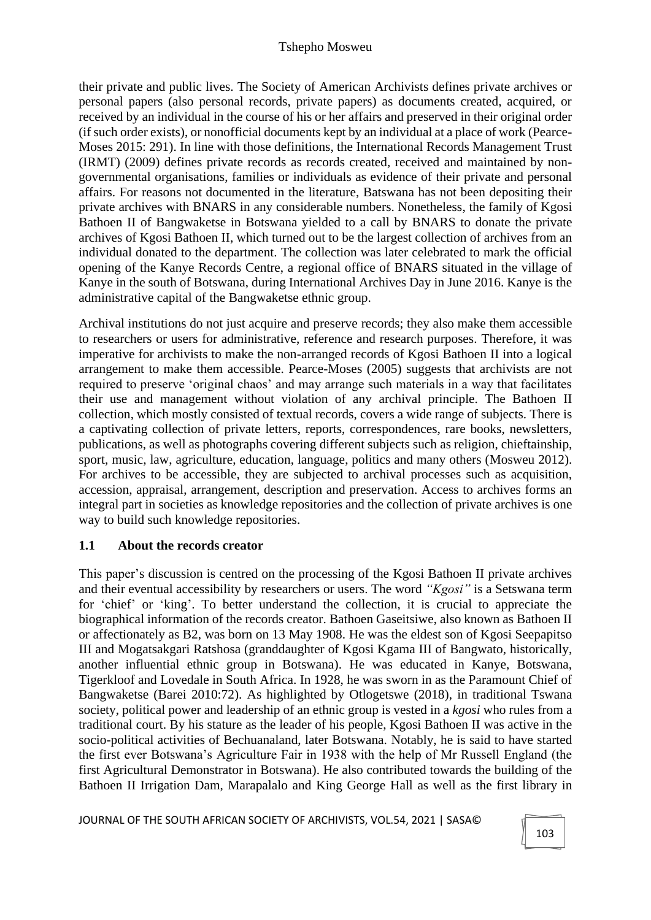their private and public lives. The Society of American Archivists defines private archives or personal papers (also personal records, private papers) as documents created, acquired, or received by an individual in the course of his or her affairs and preserved in their original order (if such order exists), or nonofficial documents kept by an individual at a place of work (Pearce-Moses 2015: 291). In line with those definitions, the International Records Management Trust (IRMT) (2009) defines private records as records created, received and maintained by nongovernmental organisations, families or individuals as evidence of their private and personal affairs. For reasons not documented in the literature, Batswana has not been depositing their private archives with BNARS in any considerable numbers. Nonetheless, the family of Kgosi Bathoen II of Bangwaketse in Botswana yielded to a call by BNARS to donate the private archives of Kgosi Bathoen II, which turned out to be the largest collection of archives from an individual donated to the department. The collection was later celebrated to mark the official opening of the Kanye Records Centre, a regional office of BNARS situated in the village of Kanye in the south of Botswana, during International Archives Day in June 2016. Kanye is the administrative capital of the Bangwaketse ethnic group.

Archival institutions do not just acquire and preserve records; they also make them accessible to researchers or users for administrative, reference and research purposes. Therefore, it was imperative for archivists to make the non-arranged records of Kgosi Bathoen II into a logical arrangement to make them accessible. Pearce-Moses (2005) suggests that archivists are not required to preserve 'original chaos' and may arrange such materials in a way that facilitates their use and management without violation of any archival principle. The Bathoen II collection, which mostly consisted of textual records, covers a wide range of subjects. There is a captivating collection of private letters, reports, correspondences, rare books, newsletters, publications, as well as photographs covering different subjects such as religion, chieftainship, sport, music, law, agriculture, education, language, politics and many others (Mosweu 2012). For archives to be accessible, they are subjected to archival processes such as acquisition, accession, appraisal, arrangement, description and preservation. Access to archives forms an integral part in societies as knowledge repositories and the collection of private archives is one way to build such knowledge repositories.

# **1.1 About the records creator**

This paper's discussion is centred on the processing of the Kgosi Bathoen II private archives and their eventual accessibility by researchers or users. The word *"Kgosi"* is a Setswana term for 'chief' or 'king'. To better understand the collection, it is crucial to appreciate the biographical information of the records creator. Bathoen Gaseitsiwe, also known as Bathoen II or affectionately as B2, was born on 13 May 1908. He was the eldest son of Kgosi Seepapitso III and Mogatsakgari Ratshosa (granddaughter of Kgosi Kgama III of Bangwato, historically, another influential ethnic group in Botswana). He was educated in Kanye, Botswana, Tigerkloof and Lovedale in South Africa. In 1928, he was sworn in as the Paramount Chief of Bangwaketse (Barei 2010:72). As highlighted by Otlogetswe (2018), in traditional Tswana society, political power and leadership of an ethnic group is vested in a *kgosi* who rules from a traditional court. By his stature as the leader of his people, Kgosi Bathoen II was active in the socio-political activities of Bechuanaland, later Botswana. Notably, he is said to have started the first ever Botswana's Agriculture Fair in 1938 with the help of Mr Russell England (the first Agricultural Demonstrator in Botswana). He also contributed towards the building of the Bathoen II Irrigation Dam, Marapalalo and King George Hall as well as the first library in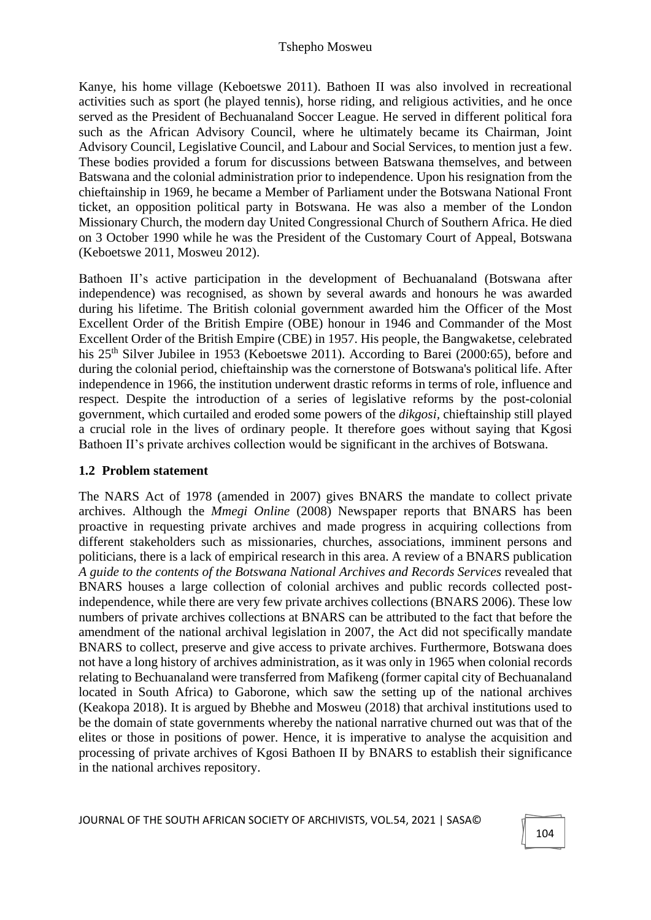Kanye, his home village (Keboetswe 2011). Bathoen II was also involved in recreational activities such as sport (he played tennis), horse riding, and religious activities, and he once served as the President of Bechuanaland Soccer League. He served in different political fora such as the African Advisory Council, where he ultimately became its Chairman, Joint Advisory Council, Legislative Council, and Labour and Social Services, to mention just a few. These bodies provided a forum for discussions between Batswana themselves, and between Batswana and the colonial administration prior to independence. Upon his resignation from the chieftainship in 1969, he became a Member of Parliament under the Botswana National Front ticket, an opposition political party in Botswana. He was also a member of the London Missionary Church, the modern day United Congressional Church of Southern Africa. He died on 3 October 1990 while he was the President of the Customary Court of Appeal, Botswana (Keboetswe 2011, Mosweu 2012).

Bathoen II's active participation in the development of Bechuanaland (Botswana after independence) was recognised, as shown by several awards and honours he was awarded during his lifetime. The British colonial government awarded him the Officer of the Most Excellent Order of the British Empire (OBE) honour in 1946 and Commander of the Most Excellent Order of the British Empire (CBE) in 1957. His people, the Bangwaketse, celebrated his 25<sup>th</sup> Silver Jubilee in 1953 (Keboetswe 2011). According to Barei (2000:65), before and during the colonial period, chieftainship was the cornerstone of Botswana's political life. After independence in 1966, the institution underwent drastic reforms in terms of role, influence and respect. Despite the introduction of a series of legislative reforms by the post-colonial government, which curtailed and eroded some powers of the *dikgosi,* chieftainship still played a crucial role in the lives of ordinary people. It therefore goes without saying that Kgosi Bathoen II's private archives collection would be significant in the archives of Botswana.

# **1.2 Problem statement**

The NARS Act of 1978 (amended in 2007) gives BNARS the mandate to collect private archives. Although the *Mmegi Online* (2008) Newspaper reports that BNARS has been proactive in requesting private archives and made progress in acquiring collections from different stakeholders such as missionaries, churches, associations, imminent persons and politicians, there is a lack of empirical research in this area. A review of a BNARS publication *A guide to the contents of the Botswana National Archives and Records Services* revealed that BNARS houses a large collection of colonial archives and public records collected postindependence, while there are very few private archives collections (BNARS 2006). These low numbers of private archives collections at BNARS can be attributed to the fact that before the amendment of the national archival legislation in 2007, the Act did not specifically mandate BNARS to collect, preserve and give access to private archives. Furthermore, Botswana does not have a long history of archives administration, as it was only in 1965 when colonial records relating to Bechuanaland were transferred from Mafikeng (former capital city of Bechuanaland located in South Africa) to Gaborone, which saw the setting up of the national archives (Keakopa 2018). It is argued by Bhebhe and Mosweu (2018) that archival institutions used to be the domain of state governments whereby the national narrative churned out was that of the elites or those in positions of power. Hence, it is imperative to analyse the acquisition and processing of private archives of Kgosi Bathoen II by BNARS to establish their significance in the national archives repository.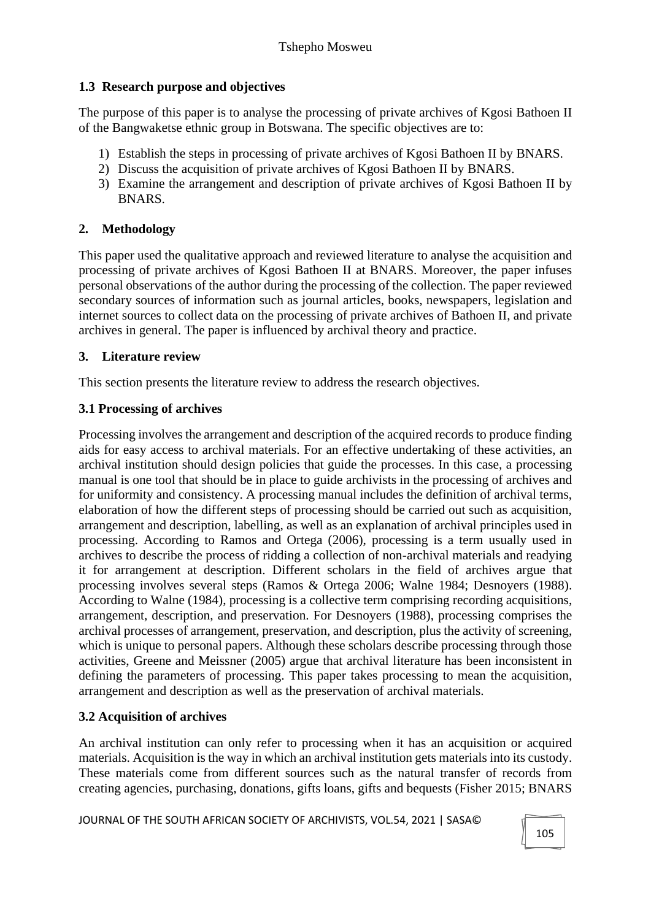# **1.3 Research purpose and objectives**

The purpose of this paper is to analyse the processing of private archives of Kgosi Bathoen II of the Bangwaketse ethnic group in Botswana. The specific objectives are to:

- 1) Establish the steps in processing of private archives of Kgosi Bathoen II by BNARS.
- 2) Discuss the acquisition of private archives of Kgosi Bathoen II by BNARS.
- 3) Examine the arrangement and description of private archives of Kgosi Bathoen II by BNARS.

# **2. Methodology**

This paper used the qualitative approach and reviewed literature to analyse the acquisition and processing of private archives of Kgosi Bathoen II at BNARS. Moreover, the paper infuses personal observations of the author during the processing of the collection. The paper reviewed secondary sources of information such as journal articles, books, newspapers, legislation and internet sources to collect data on the processing of private archives of Bathoen II, and private archives in general. The paper is influenced by archival theory and practice.

# **3. Literature review**

This section presents the literature review to address the research objectives.

# **3.1 Processing of archives**

Processing involves the arrangement and description of the acquired records to produce finding aids for easy access to archival materials. For an effective undertaking of these activities, an archival institution should design policies that guide the processes. In this case, a processing manual is one tool that should be in place to guide archivists in the processing of archives and for uniformity and consistency. A processing manual includes the definition of archival terms, elaboration of how the different steps of processing should be carried out such as acquisition, arrangement and description, labelling, as well as an explanation of archival principles used in processing. According to Ramos and Ortega (2006), processing is a term usually used in archives to describe the process of ridding a collection of non-archival materials and readying it for arrangement at description. Different scholars in the field of archives argue that processing involves several steps (Ramos & Ortega 2006; Walne 1984; Desnoyers (1988). According to Walne (1984), processing is a collective term comprising recording acquisitions, arrangement, description, and preservation. For Desnoyers (1988), processing comprises the archival processes of arrangement, preservation, and description, plus the activity of screening, which is unique to personal papers. Although these scholars describe processing through those activities, Greene and Meissner (2005) argue that archival literature has been inconsistent in defining the parameters of processing. This paper takes processing to mean the acquisition, arrangement and description as well as the preservation of archival materials.

# **3.2 Acquisition of archives**

An archival institution can only refer to processing when it has an acquisition or acquired materials. Acquisition is the way in which an archival institution gets materials into its custody. These materials come from different sources such as the natural transfer of records from creating agencies, purchasing, donations, gifts loans, gifts and bequests (Fisher 2015; BNARS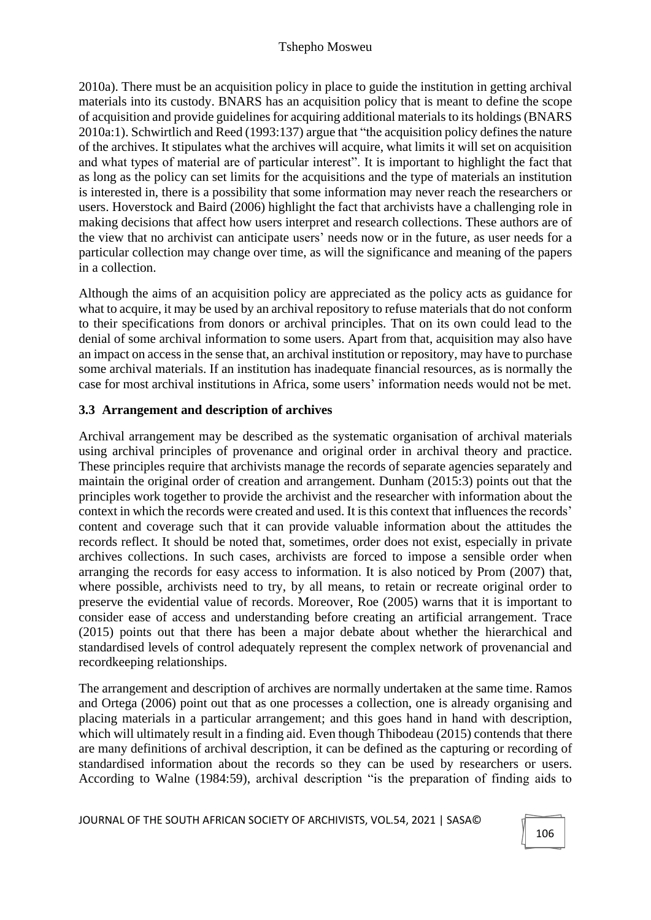2010a). There must be an acquisition policy in place to guide the institution in getting archival materials into its custody. BNARS has an acquisition policy that is meant to define the scope of acquisition and provide guidelines for acquiring additional materials to its holdings (BNARS 2010a:1). Schwirtlich and Reed (1993:137) argue that "the acquisition policy defines the nature of the archives. It stipulates what the archives will acquire, what limits it will set on acquisition and what types of material are of particular interest". It is important to highlight the fact that as long as the policy can set limits for the acquisitions and the type of materials an institution is interested in, there is a possibility that some information may never reach the researchers or users. Hoverstock and Baird (2006) highlight the fact that archivists have a challenging role in making decisions that affect how users interpret and research collections. These authors are of the view that no archivist can anticipate users' needs now or in the future, as user needs for a particular collection may change over time, as will the significance and meaning of the papers in a collection.

Although the aims of an acquisition policy are appreciated as the policy acts as guidance for what to acquire, it may be used by an archival repository to refuse materials that do not conform to their specifications from donors or archival principles. That on its own could lead to the denial of some archival information to some users. Apart from that, acquisition may also have an impact on access in the sense that, an archival institution or repository, may have to purchase some archival materials. If an institution has inadequate financial resources, as is normally the case for most archival institutions in Africa, some users' information needs would not be met.

# **3.3 Arrangement and description of archives**

Archival arrangement may be described as the systematic organisation of archival materials using archival principles of provenance and original order in archival theory and practice. These principles require that archivists manage the records of separate agencies separately and maintain the original order of creation and arrangement. Dunham (2015:3) points out that the principles work together to provide the archivist and the researcher with information about the context in which the records were created and used. It is this context that influences the records' content and coverage such that it can provide valuable information about the attitudes the records reflect. It should be noted that, sometimes, order does not exist, especially in private archives collections. In such cases, archivists are forced to impose a sensible order when arranging the records for easy access to information. It is also noticed by Prom (2007) that, where possible, archivists need to try, by all means, to retain or recreate original order to preserve the evidential value of records. Moreover, Roe (2005) warns that it is important to consider ease of access and understanding before creating an artificial arrangement. Trace (2015) points out that there has been a major debate about whether the hierarchical and standardised levels of control adequately represent the complex network of provenancial and recordkeeping relationships.

The arrangement and description of archives are normally undertaken at the same time. Ramos and Ortega (2006) point out that as one processes a collection, one is already organising and placing materials in a particular arrangement; and this goes hand in hand with description, which will ultimately result in a finding aid. Even though Thibodeau (2015) contends that there are many definitions of archival description, it can be defined as the capturing or recording of standardised information about the records so they can be used by researchers or users. According to Walne (1984:59), archival description "is the preparation of finding aids to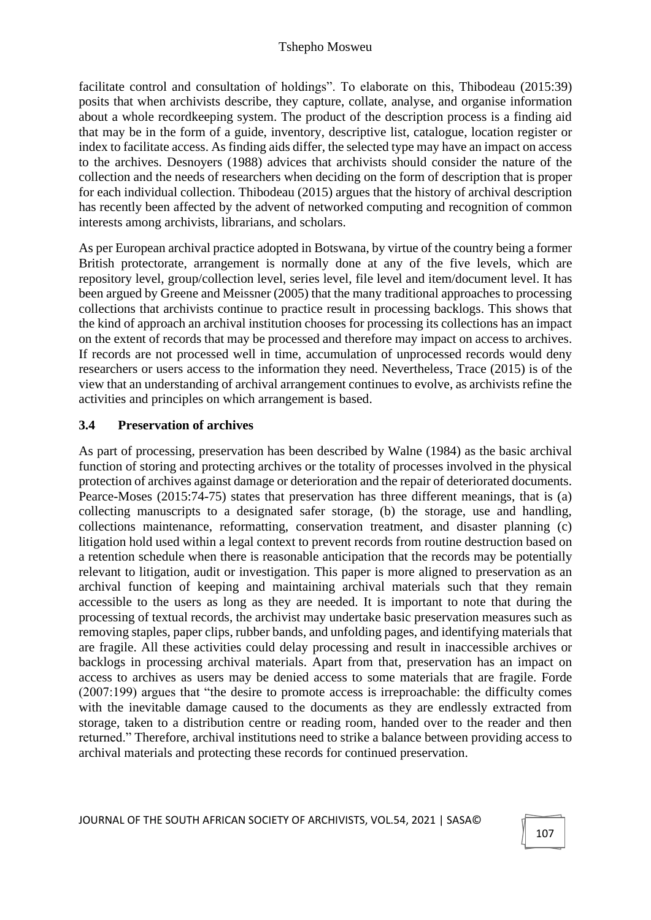facilitate control and consultation of holdings". To elaborate on this, Thibodeau (2015:39) posits that when archivists describe, they capture, collate, analyse, and organise information about a whole recordkeeping system. The product of the description process is a finding aid that may be in the form of a guide, inventory, descriptive list, catalogue, location register or index to facilitate access. As finding aids differ, the selected type may have an impact on access to the archives. Desnoyers (1988) advices that archivists should consider the nature of the collection and the needs of researchers when deciding on the form of description that is proper for each individual collection. Thibodeau (2015) argues that the history of archival description has recently been affected by the advent of networked computing and recognition of common interests among archivists, librarians, and scholars.

As per European archival practice adopted in Botswana, by virtue of the country being a former British protectorate, arrangement is normally done at any of the five levels, which are repository level, group/collection level, series level, file level and item/document level. It has been argued by Greene and Meissner (2005) that the many traditional approaches to processing collections that archivists continue to practice result in processing backlogs. This shows that the kind of approach an archival institution chooses for processing its collections has an impact on the extent of records that may be processed and therefore may impact on access to archives. If records are not processed well in time, accumulation of unprocessed records would deny researchers or users access to the information they need. Nevertheless, Trace (2015) is of the view that an understanding of archival arrangement continues to evolve, as archivists refine the activities and principles on which arrangement is based.

#### **3.4 Preservation of archives**

As part of processing, preservation has been described by Walne (1984) as the basic archival function of storing and protecting archives or the totality of processes involved in the physical protection of archives against damage or deterioration and the repair of deteriorated documents. Pearce-Moses (2015:74-75) states that preservation has three different meanings, that is (a) collecting manuscripts to a designated safer storage, (b) the storage, use and handling, collections maintenance, reformatting, conservation treatment, and disaster planning (c) litigation hold used within a legal context to prevent records from routine destruction based on a retention schedule when there is reasonable anticipation that the records may be potentially relevant to litigation, audit or investigation. This paper is more aligned to preservation as an archival function of keeping and maintaining archival materials such that they remain accessible to the users as long as they are needed. It is important to note that during the processing of textual records, the archivist may undertake basic preservation measures such as removing staples, paper clips, rubber bands, and unfolding pages, and identifying materials that are fragile. All these activities could delay processing and result in inaccessible archives or backlogs in processing archival materials. Apart from that, preservation has an impact on access to archives as users may be denied access to some materials that are fragile. Forde (2007:199) argues that "the desire to promote access is irreproachable: the difficulty comes with the inevitable damage caused to the documents as they are endlessly extracted from storage, taken to a distribution centre or reading room, handed over to the reader and then returned." Therefore, archival institutions need to strike a balance between providing access to archival materials and protecting these records for continued preservation.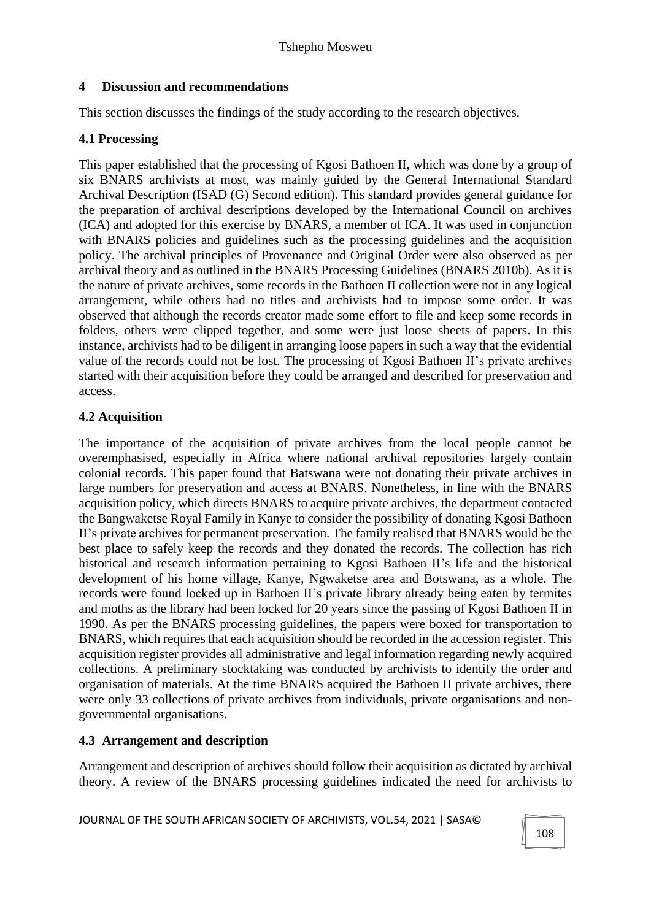# **4 Discussion and recommendations**

This section discusses the findings of the study according to the research objectives.

### **4.1 Processing**

This paper established that the processing of Kgosi Bathoen II, which was done by a group of six BNARS archivists at most, was mainly guided by the General International Standard Archival Description (ISAD (G) Second edition). This standard provides general guidance for the preparation of archival descriptions developed by the International Council on archives (ICA) and adopted for this exercise by BNARS, a member of ICA. It was used in conjunction with BNARS policies and guidelines such as the processing guidelines and the acquisition policy. The archival principles of Provenance and Original Order were also observed as per archival theory and as outlined in the BNARS Processing Guidelines (BNARS 2010b). As it is the nature of private archives, some records in the Bathoen II collection were not in any logical arrangement, while others had no titles and archivists had to impose some order. It was observed that although the records creator made some effort to file and keep some records in folders, others were clipped together, and some were just loose sheets of papers. In this instance, archivists had to be diligent in arranging loose papers in such a way that the evidential value of the records could not be lost. The processing of Kgosi Bathoen II's private archives started with their acquisition before they could be arranged and described for preservation and access.

# **4.2 Acquisition**

The importance of the acquisition of private archives from the local people cannot be overemphasised, especially in Africa where national archival repositories largely contain colonial records. This paper found that Batswana were not donating their private archives in large numbers for preservation and access at BNARS. Nonetheless, in line with the BNARS acquisition policy, which directs BNARS to acquire private archives, the department contacted the Bangwaketse Royal Family in Kanye to consider the possibility of donating Kgosi Bathoen II's private archives for permanent preservation. The family realised that BNARS would be the best place to safely keep the records and they donated the records. The collection has rich historical and research information pertaining to Kgosi Bathoen II's life and the historical development of his home village, Kanye, Ngwaketse area and Botswana, as a whole. The records were found locked up in Bathoen II's private library already being eaten by termites and moths as the library had been locked for 20 years since the passing of Kgosi Bathoen II in 1990. As per the BNARS processing guidelines, the papers were boxed for transportation to BNARS, which requires that each acquisition should be recorded in the accession register. This acquisition register provides all administrative and legal information regarding newly acquired collections. A preliminary stocktaking was conducted by archivists to identify the order and organisation of materials. At the time BNARS acquired the Bathoen II private archives, there were only 33 collections of private archives from individuals, private organisations and nongovernmental organisations.

# **4.3 Arrangement and description**

Arrangement and description of archives should follow their acquisition as dictated by archival theory. A review of the BNARS processing guidelines indicated the need for archivists to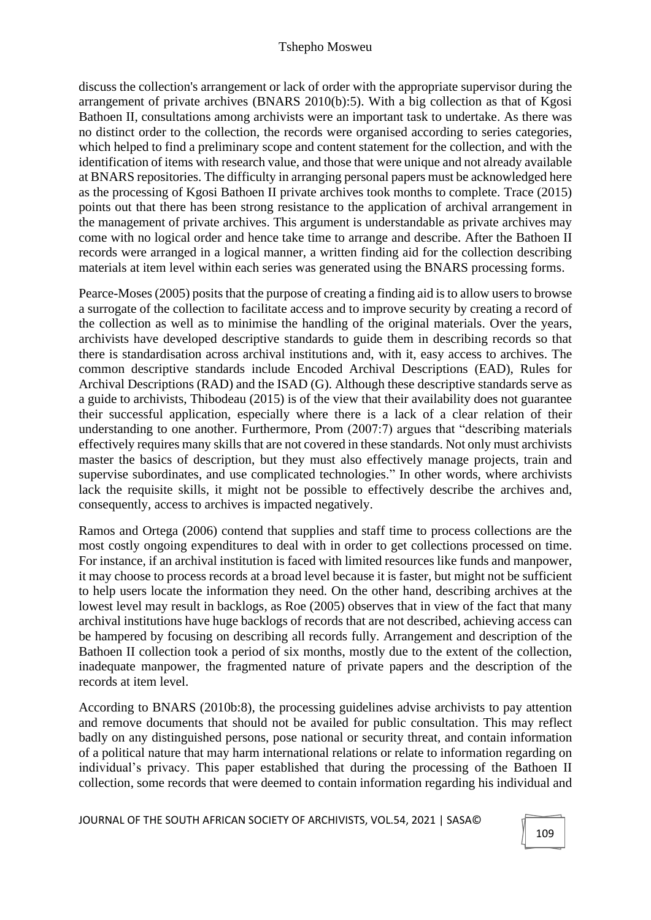discuss the collection's arrangement or lack of order with the appropriate supervisor during the arrangement of private archives (BNARS 2010(b):5). With a big collection as that of Kgosi Bathoen II, consultations among archivists were an important task to undertake. As there was no distinct order to the collection, the records were organised according to series categories, which helped to find a preliminary scope and content statement for the collection, and with the identification of items with research value, and those that were unique and not already available at BNARS repositories. The difficulty in arranging personal papers must be acknowledged here as the processing of Kgosi Bathoen II private archives took months to complete. Trace (2015) points out that there has been strong resistance to the application of archival arrangement in the management of private archives. This argument is understandable as private archives may come with no logical order and hence take time to arrange and describe. After the Bathoen II records were arranged in a logical manner, a written finding aid for the collection describing materials at item level within each series was generated using the BNARS processing forms.

Pearce-Moses (2005) posits that the purpose of creating a finding aid is to allow usersto browse a surrogate of the collection to facilitate access and to improve security by creating a record of the collection as well as to minimise the handling of the original materials. Over the years, archivists have developed descriptive standards to guide them in describing records so that there is standardisation across archival institutions and, with it, easy access to archives. The common descriptive standards include Encoded Archival Descriptions (EAD), Rules for Archival Descriptions (RAD) and the ISAD (G). Although these descriptive standards serve as a guide to archivists, Thibodeau (2015) is of the view that their availability does not guarantee their successful application, especially where there is a lack of a clear relation of their understanding to one another. Furthermore, Prom (2007:7) argues that "describing materials effectively requires many skills that are not covered in these standards. Not only must archivists master the basics of description, but they must also effectively manage projects, train and supervise subordinates, and use complicated technologies." In other words, where archivists lack the requisite skills, it might not be possible to effectively describe the archives and, consequently, access to archives is impacted negatively.

Ramos and Ortega (2006) contend that supplies and staff time to process collections are the most costly ongoing expenditures to deal with in order to get collections processed on time. For instance, if an archival institution is faced with limited resources like funds and manpower, it may choose to process records at a broad level because it is faster, but might not be sufficient to help users locate the information they need. On the other hand, describing archives at the lowest level may result in backlogs, as Roe (2005) observes that in view of the fact that many archival institutions have huge backlogs of records that are not described, achieving access can be hampered by focusing on describing all records fully. Arrangement and description of the Bathoen II collection took a period of six months, mostly due to the extent of the collection, inadequate manpower, the fragmented nature of private papers and the description of the records at item level.

According to BNARS (2010b:8), the processing guidelines advise archivists to pay attention and remove documents that should not be availed for public consultation. This may reflect badly on any distinguished persons, pose national or security threat, and contain information of a political nature that may harm international relations or relate to information regarding on individual's privacy. This paper established that during the processing of the Bathoen II collection, some records that were deemed to contain information regarding his individual and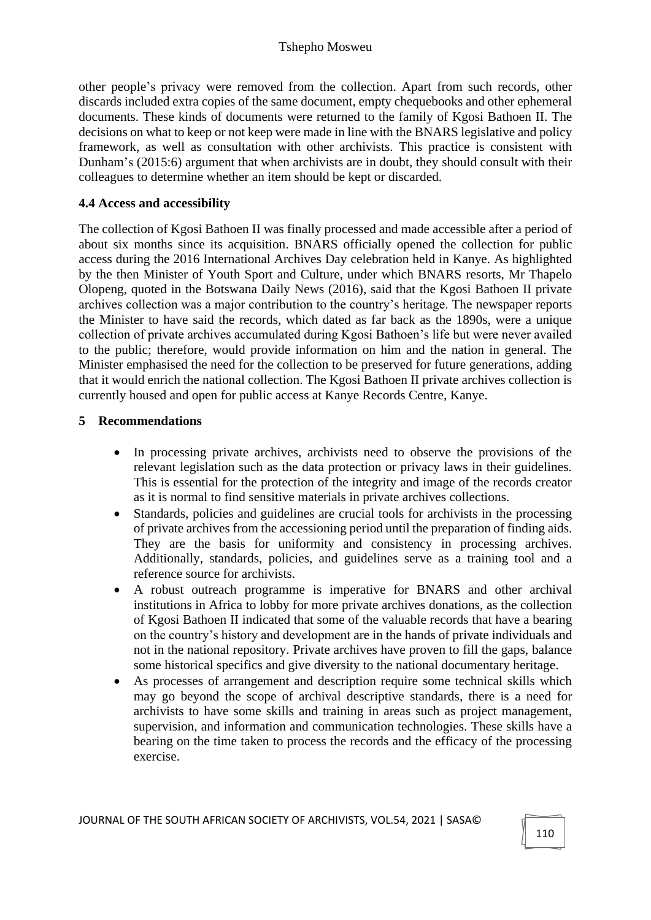other people's privacy were removed from the collection. Apart from such records, other discards included extra copies of the same document, empty chequebooks and other ephemeral documents. These kinds of documents were returned to the family of Kgosi Bathoen II. The decisions on what to keep or not keep were made in line with the BNARS legislative and policy framework, as well as consultation with other archivists. This practice is consistent with Dunham's (2015:6) argument that when archivists are in doubt, they should consult with their colleagues to determine whether an item should be kept or discarded.

#### **4.4 Access and accessibility**

The collection of Kgosi Bathoen II was finally processed and made accessible after a period of about six months since its acquisition. BNARS officially opened the collection for public access during the 2016 International Archives Day celebration held in Kanye. As highlighted by the then Minister of Youth Sport and Culture, under which BNARS resorts, Mr Thapelo Olopeng, quoted in the Botswana Daily News (2016), said that the Kgosi Bathoen II private archives collection was a major contribution to the country's heritage. The newspaper reports the Minister to have said the records, which dated as far back as the 1890s, were a unique collection of private archives accumulated during Kgosi Bathoen's life but were never availed to the public; therefore, would provide information on him and the nation in general. The Minister emphasised the need for the collection to be preserved for future generations, adding that it would enrich the national collection. The Kgosi Bathoen II private archives collection is currently housed and open for public access at Kanye Records Centre, Kanye.

#### **5 Recommendations**

- In processing private archives, archivists need to observe the provisions of the relevant legislation such as the data protection or privacy laws in their guidelines. This is essential for the protection of the integrity and image of the records creator as it is normal to find sensitive materials in private archives collections.
- Standards, policies and guidelines are crucial tools for archivists in the processing of private archives from the accessioning period until the preparation of finding aids. They are the basis for uniformity and consistency in processing archives. Additionally, standards, policies, and guidelines serve as a training tool and a reference source for archivists.
- A robust outreach programme is imperative for BNARS and other archival institutions in Africa to lobby for more private archives donations, as the collection of Kgosi Bathoen II indicated that some of the valuable records that have a bearing on the country's history and development are in the hands of private individuals and not in the national repository. Private archives have proven to fill the gaps, balance some historical specifics and give diversity to the national documentary heritage.
- As processes of arrangement and description require some technical skills which may go beyond the scope of archival descriptive standards, there is a need for archivists to have some skills and training in areas such as project management, supervision, and information and communication technologies. These skills have a bearing on the time taken to process the records and the efficacy of the processing exercise.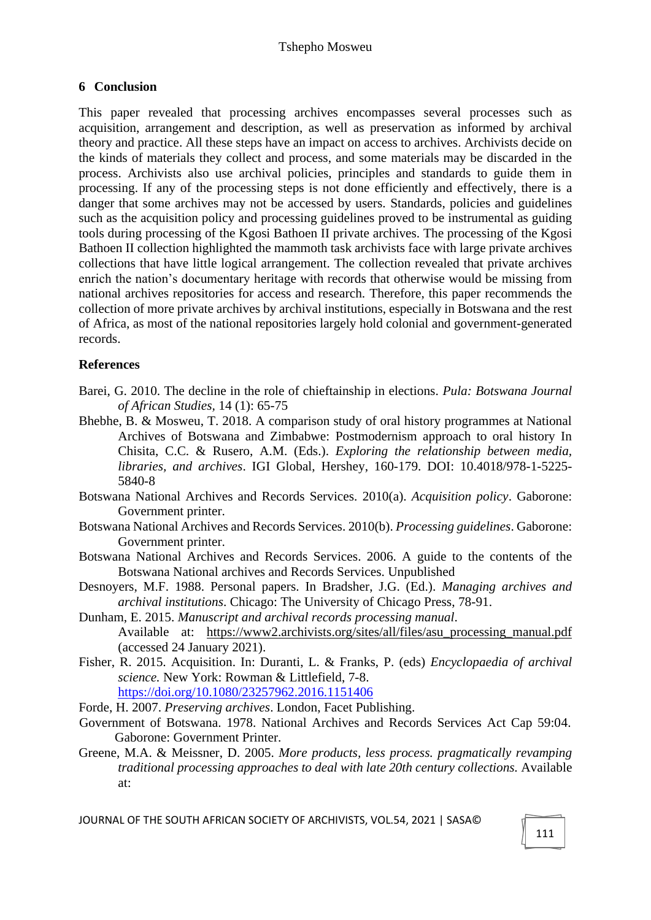### **6 Conclusion**

This paper revealed that processing archives encompasses several processes such as acquisition, arrangement and description, as well as preservation as informed by archival theory and practice. All these steps have an impact on access to archives. Archivists decide on the kinds of materials they collect and process, and some materials may be discarded in the process. Archivists also use archival policies, principles and standards to guide them in processing. If any of the processing steps is not done efficiently and effectively, there is a danger that some archives may not be accessed by users. Standards, policies and guidelines such as the acquisition policy and processing guidelines proved to be instrumental as guiding tools during processing of the Kgosi Bathoen II private archives. The processing of the Kgosi Bathoen II collection highlighted the mammoth task archivists face with large private archives collections that have little logical arrangement. The collection revealed that private archives enrich the nation's documentary heritage with records that otherwise would be missing from national archives repositories for access and research. Therefore, this paper recommends the collection of more private archives by archival institutions, especially in Botswana and the rest of Africa, as most of the national repositories largely hold colonial and government-generated records.

#### **References**

- Barei, G. 2010. The decline in the role of chieftainship in elections. *Pula: Botswana Journal of African Studies,* 14 (1): 65-75
- Bhebhe, B. & Mosweu, T. 2018. A comparison study of oral history programmes at National Archives of Botswana and Zimbabwe: Postmodernism approach to oral history In Chisita, C.C. & Rusero, A.M. (Eds.). *Exploring the relationship between media, libraries, and archives*. IGI Global, Hershey, 160-179. DOI: 10.4018/978-1-5225- 5840-8
- Botswana National Archives and Records Services. 2010(a). *Acquisition policy*. Gaborone: Government printer.
- Botswana National Archives and Records Services. 2010(b). *Processing guidelines*. Gaborone: Government printer.
- Botswana National Archives and Records Services. 2006. A guide to the contents of the Botswana National archives and Records Services. Unpublished
- Desnoyers, M.F. 1988. Personal papers. In Bradsher, J.G. (Ed.). *Managing archives and archival institutions*. Chicago: The University of Chicago Press, 78-91.
- Dunham, E. 2015. *Manuscript and archival records processing manual*. Available at: https://www2.archivists.org/sites/all/files/asu\_processing\_manual.pdf (accessed 24 January 2021).
- Fisher, R. 2015. Acquisition. In: Duranti, L. & Franks, P. (eds) *Encyclopaedia of archival science.* New York: Rowman & Littlefield, 7-8. <https://doi.org/10.1080/23257962.2016.1151406>

Forde, H. 2007. *Preserving archives*. London, Facet Publishing.

- Government of Botswana. 1978. National Archives and Records Services Act Cap 59:04. Gaborone: Government Printer.
- Greene, M.A. & Meissner, D. 2005. *More products, less process. pragmatically revamping traditional processing approaches to deal with late 20th century collections.* Available at: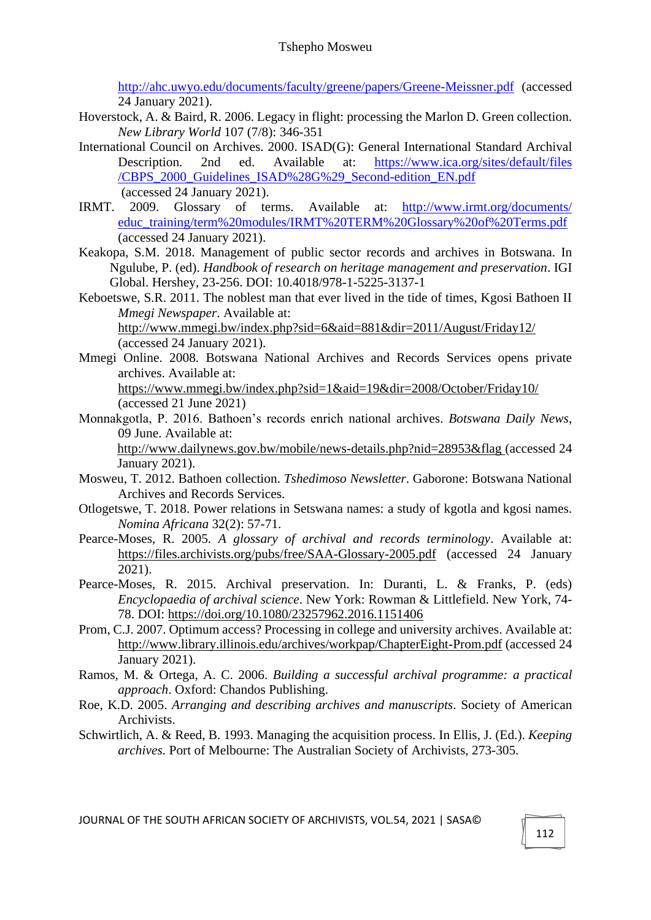<http://ahc.uwyo.edu/documents/faculty/greene/papers/Greene-Meissner.pdf> (accessed 24 January 2021).

- Hoverstock, A. & Baird, R. 2006. Legacy in flight: processing the Marlon D. Green collection. *New Library World* 107 (7/8): 346-351
- International Council on Archives. 2000. ISAD(G): General International Standard Archival Description. 2nd ed. Available at: [https://www.ica.org/sites/default/files](https://www.ica.org/sites/default/files%20/CBPS_2000_Guidelines_ISAD%28G%29_Second-edition_EN.pdf) [/CBPS\\_2000\\_Guidelines\\_ISAD%28G%29\\_Second-edition\\_EN.pdf](https://www.ica.org/sites/default/files%20/CBPS_2000_Guidelines_ISAD%28G%29_Second-edition_EN.pdf)
- (accessed 24 January 2021).<br>IRMT. 2009. Glossarv of te 2009. Glossary of terms. Available at: http://www.irmt.org/documents/ [educ\\_training/term%20modules/IRMT%20TERM%20Glossary%20of%20Terms.pdf](http://www.irmt.org/documents/%20educ_training/term%20modules/IRMT%20TERM%20Glossary%20of%20Terms.pdf) (accessed 24 January 2021).
- Keakopa, S.M. 2018. Management of public sector records and archives in Botswana. In Ngulube, P. (ed). *Handbook of research on heritage management and preservation*. IGI Global. Hershey, 23-256. DOI: 10.4018/978-1-5225-3137-1
- Keboetswe, S.R. 2011. The noblest man that ever lived in the tide of times, Kgosi Bathoen II *Mmegi Newspaper*. Available at: http://www.mmegi.bw/index.php?sid=6&aid=881&dir=2011/August/Friday12/ (accessed 24 January 2021).
- Mmegi Online. 2008. Botswana National Archives and Records Services opens private archives. Available at: https://www.mmegi.bw/index.php?sid=1&aid=19&dir=2008/October/Friday10/

```
(accessed 21 June 2021)
```
Monnakgotla, P. 2016. Bathoen's records enrich national archives. *Botswana Daily News*, 09 June. Available at:

http://www.dailynews.gov.bw/mobile/news-details.php?nid=28953&flag (accessed 24 January 2021).

- Mosweu, T. 2012. Bathoen collection. *Tshedimoso Newsletter*. Gaborone: Botswana National Archives and Records Services.
- Otlogetswe, T. 2018. Power relations in Setswana names: a study of kgotla and kgosi names. *Nomina Africana* 32(2): 57-71.
- Pearce-Moses, R. 2005. *A glossary of archival and records terminology*. Available at: https://files.archivists.org/pubs/free/SAA-Glossary-2005.pdf (accessed 24 January 2021).
- Pearce-Moses, R. 2015. Archival preservation. In: Duranti, L. & Franks, P. (eds) *Encyclopaedia of archival science*. New York: Rowman & Littlefield. New York, 74- 78. DOI: https://doi.org/10.1080/23257962.2016.1151406
- Prom, C.J. 2007. Optimum access? Processing in college and university archives. Available at: http://www.library.illinois.edu/archives/workpap/ChapterEight-Prom.pdf (accessed 24 January 2021).
- Ramos, M. & Ortega, A. C. 2006. *Building a successful archival programme: a practical approach*. Oxford: Chandos Publishing.
- Roe, K.D. 2005. *Arranging and describing archives and manuscripts*. Society of American Archivists.
- Schwirtlich, A. & Reed, B. 1993. Managing the acquisition process. In Ellis, J. (Ed.). *Keeping archives.* Port of Melbourne: The Australian Society of Archivists, 273-305.